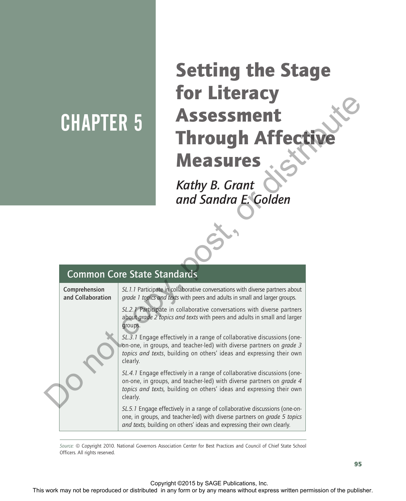# CHAPTER 5

# Setting the Stage for Literacy Assessment **Through Affecti** Measures

| <b>CHAPTER 5</b>                   |                     | <b>Assessment</b><br><b>Through Affective</b><br><b>Measures</b>                                                                                                                                                                                                                                                                                                                                                                                                                                                                                             |  |
|------------------------------------|---------------------|--------------------------------------------------------------------------------------------------------------------------------------------------------------------------------------------------------------------------------------------------------------------------------------------------------------------------------------------------------------------------------------------------------------------------------------------------------------------------------------------------------------------------------------------------------------|--|
|                                    |                     | Kathy B. Grant<br>and Sandra E. Golden                                                                                                                                                                                                                                                                                                                                                                                                                                                                                                                       |  |
| <b>Common Core State Standards</b> |                     |                                                                                                                                                                                                                                                                                                                                                                                                                                                                                                                                                              |  |
|                                    |                     |                                                                                                                                                                                                                                                                                                                                                                                                                                                                                                                                                              |  |
| Comprehension<br>and Collaboration | groups.<br>clearly. | SL.1.1 Participate in collaborative conversations with diverse partners about<br>grade 1 topics and texts with peers and adults in small and larger groups.<br>SL.2.1 Participate in collaborative conversations with diverse partners<br>about grade 2 topics and texts with peers and adults in small and larger<br>$SL.\overline{3}$ . I Engage effectively in a range of collaborative discussions (one-<br>on-one, in groups, and teacher-led) with diverse partners on grade 3<br>topics and texts, building on others' ideas and expressing their own |  |
|                                    | clearly.            | SL.4.1 Engage effectively in a range of collaborative discussions (one-<br>on-one, in groups, and teacher-led) with diverse partners on grade 4<br>topics and texts, building on others' ideas and expressing their own                                                                                                                                                                                                                                                                                                                                      |  |
|                                    |                     | SL.5.1 Engage effectively in a range of collaborative discussions (one-on-<br>one, in groups, and teacher-led) with diverse partners on grade 5 topics<br>and texts, building on others' ideas and expressing their own clearly.                                                                                                                                                                                                                                                                                                                             |  |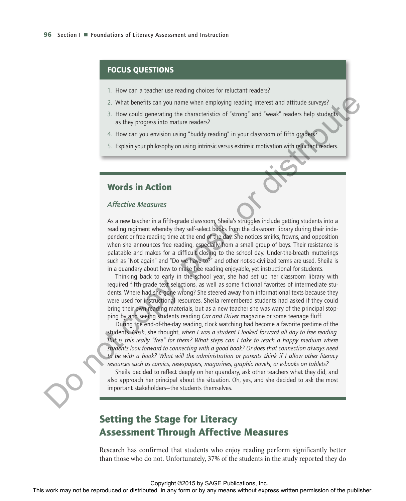### FOCUS QUESTIONS

- 1. How can a teacher use reading choices for reluctant readers?
- 2. What benefits can you name when employing reading interest and attitude surveys?
- 3. How could generating the characteristics of "strong" and "weak" readers help students as they progress into mature readers?
- 4. How can you envision using "buddy reading" in your classroom of fifth graders?
- 5. Explain your philosophy on using intrinsic versus extrinsic motivation with reluctant readers.

# Words in Action

### *Affective Measures*

As a new teacher in a fifth-grade classroom, Sheila's struggles include getting students into a reading regiment whereby they self-select books from the classroom library during their independent or free reading time at the end of the day. She notices smirks, frowns, and opposition when she announces free reading, especially from a small group of boys. Their resistance is palatable and makes for a difficult closing to the school day. Under-the-breath mutterings such as "Not again" and "Do we have to?" and other not-so-civilized terms are used. Sheila is in a quandary about how to make free reading enjoyable, yet instructional for students. This work may not be reproduced or distribution or by any form or by any form or by any form or by any form or by any means with the publisher or by any form or by any points of the publisher. This way no means weaken on

Thinking back to early in the school year, she had set up her classroom library with required fifth-grade text selections, as well as some fictional favorites of intermediate students. Where had she gone wrong? She steered away from informational texts because they were used for instructional resources. Sheila remembered students had asked if they could bring their own reading materials, but as a new teacher she was wary of the principal stopping by and seeing students reading *Car and Driver* magazine or some teenage fluff.

During the end-of-the-day reading, clock watching had become a favorite pastime of the students. *Gosh*, she thought, *when I was a student I looked forward all day to free reading. But is this really "free" for them? What steps can I take to reach a happy medium where students look forward to connecting with a good book? Or does that connection always need to be with a book? What will the administration or parents think if I allow other literacy resources such as comics, newspapers, magazines, graphic novels, or e-books on tablets?*

Sheila decided to reflect deeply on her quandary, ask other teachers what they did, and also approach her principal about the situation. Oh, yes, and she decided to ask the most important stakeholders—the students themselves.

# Setting the Stage for Literacy Assessment Through Affective Measures

Research has confirmed that students who enjoy reading perform significantly better than those who do not. Unfortunately, 37% of the students in the study reported they do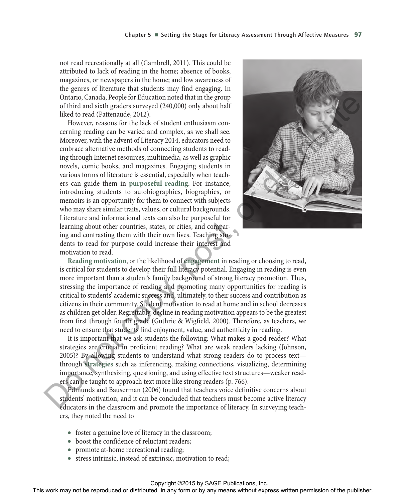not read recreationally at all (Gambrell, 2011). This could be attributed to lack of reading in the home; absence of books, magazines, or newspapers in the home; and low awareness of the genres of literature that students may find engaging. In Ontario, Canada, People for Education noted that in the group of third and sixth graders surveyed (240,000) only about half liked to read (Pattenaude, 2012).

However, reasons for the lack of student enthusiasm concerning reading can be varied and complex, as we shall see. Moreover, with the advent of Literacy 2014, educators need to embrace alternative methods of connecting students to reading through Internet resources, multimedia, as well as graphic novels, comic books, and magazines. Engaging students in various forms of literature is essential, especially when teachers can guide them in **purposeful reading**. For instance, introducing students to autobiographies, biographies, or memoirs is an opportunity for them to connect with subjects who may share similar traits, values, or cultural backgrounds. Literature and informational texts can also be purposeful for learning about other countries, states, or cities, and comparing and contrasting them with their own lives. Teaching students to read for purpose could increase their interest and motivation to read. Or the representation of the reproduced or distributed in the group<br>of the representation of the reproduced or distributed in any means were<br>distributed in a complete station of the control of the station or by a<br>station



**Reading motivation**, or the likelihood of **engagement** in reading or choosing to read, is critical for students to develop their full literacy potential. Engaging in reading is even more important than a student's family background of strong literacy promotion. Thus, stressing the importance of reading and promoting many opportunities for reading is critical to students' academic success and, ultimately, to their success and contribution as citizens in their community. Student motivation to read at home and in school decreases as children get older. Regrettably, decline in reading motivation appears to be the greatest from first through fourth grade (Guthrie & Wigfield, 2000). Therefore, as teachers, we need to ensure that students find enjoyment, value, and authenticity in reading.

It is important that we ask students the following: What makes a good reader? What strategies are crucial in proficient reading? What are weak readers lacking (Johnson, 2005)? By allowing students to understand what strong readers do to process text through **strategies** such as inferencing, making connections, visualizing, determining importance, synthesizing, questioning, and using effective text structures—weaker readers can be taught to approach text more like strong readers (p. 766).

Edmunds and Bauserman (2006) found that teachers voice definitive concerns about students' motivation, and it can be concluded that teachers must become active literacy educators in the classroom and promote the importance of literacy. In surveying teachers, they noted the need to

- foster a genuine love of literacy in the classroom;
- boost the confidence of reluctant readers:
- promote at-home recreational reading;
- stress intrinsic, instead of extrinsic, motivation to read;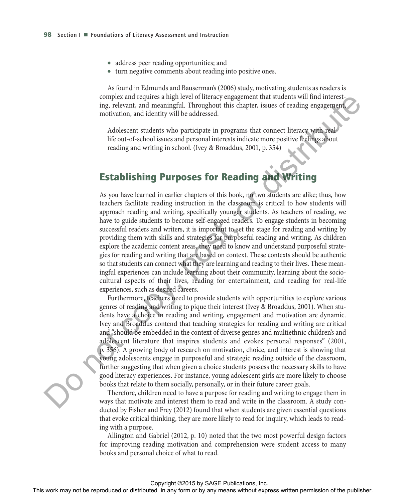- address peer reading opportunities; and
- turn negative comments about reading into positive ones.

As found in Edmunds and Bauserman's (2006) study, motivating students as readers is complex and requires a high level of literacy engagement that students will find interesting, relevant, and meaningful. Throughout this chapter, issues of reading engagement, motivation, and identity will be addressed.

Adolescent students who participate in programs that connect literacy with reallife out-of-school issues and personal interests indicate more positive feelings about reading and writing in school. (Ivey & Broaddus, 2001, p. 354)

# Establishing Purposes for Reading and Writing

As you have learned in earlier chapters of this book, no two students are alike; thus, how teachers facilitate reading instruction in the classroom is critical to how students will approach reading and writing, specifically younger students. As teachers of reading, we have to guide students to become self-engaged readers. To engage students in becoming successful readers and writers, it is important to set the stage for reading and writing by providing them with skills and strategies for purposeful reading and writing. As children explore the academic content areas, they need to know and understand purposeful strategies for reading and writing that are based on context. These contexts should be authentic so that students can connect what they are learning and reading to their lives. These meaningful experiences can include learning about their community, learning about the sociocultural aspects of their lives, reading for entertainment, and reading for real-life experiences, such as desired careers. The rest of the state of the rest or distributed.<br>
This calineary of the rest or distributed in any form or by any means we are the rest or the publisher or the state or the state of the publisher and the publisher and th

Furthermore, teachers need to provide students with opportunities to explore various genres of reading and writing to pique their interest (Ivey & Broaddus, 2001). When students have a choice in reading and writing, engagement and motivation are dynamic. Ivey and Broaddus contend that teaching strategies for reading and writing are critical and "should be embedded in the context of diverse genres and multiethnic children's and adolescent literature that inspires students and evokes personal responses" (2001, p. 356). A growing body of research on motivation, choice, and interest is showing that young adolescents engage in purposeful and strategic reading outside of the classroom, further suggesting that when given a choice students possess the necessary skills to have good literacy experiences. For instance, young adolescent girls are more likely to choose books that relate to them socially, personally, or in their future career goals.

Therefore, children need to have a purpose for reading and writing to engage them in ways that motivate and interest them to read and write in the classroom. A study conducted by Fisher and Frey (2012) found that when students are given essential questions that evoke critical thinking, they are more likely to read for inquiry, which leads to reading with a purpose.

Allington and Gabriel (2012, p. 10) noted that the two most powerful design factors for improving reading motivation and comprehension were student access to many books and personal choice of what to read.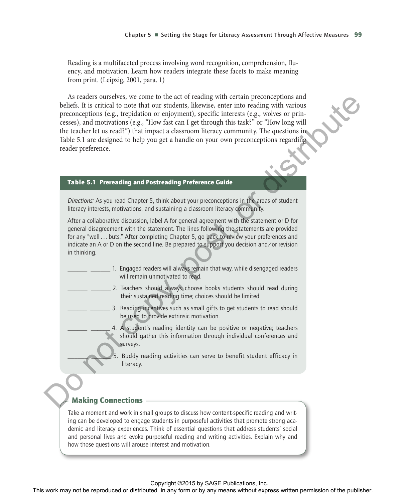Reading is a multifaceted process involving word recognition, comprehension, fluency, and motivation. Learn how readers integrate these facets to make meaning from print. (Leipzig, 2001, para. 1)

As readers ourselves, we come to the act of reading with certain preconceptions and beliefs. It is critical to note that our students, likewise, enter into reading with various preconceptions (e.g., trepidation or enjoyment), specific interests (e.g., wolves or princesses), and motivations (e.g., "How fast can I get through this task?" or "How long will the teacher let us read?") that impact a classroom literacy community. The questions in Table 5.1 are designed to help you get a handle on your own preconceptions regarding reader preference. As materials when the burst is the relation of the results with extributed in any form or burst may not be reproduced to the relation of the relation of the relation of the relation of the relation of the relation of the

### Table 5.1 Prereading and Postreading Preference Guide

*Directions:* As you read Chapter 5, think about your preconceptions in the areas of student literacy interests, motivations, and sustaining a classroom literacy community.

After a collaborative discussion, label A for general agreement with the statement or D for general disagreement with the statement. The lines following the statements are provided for any "well . . . buts." After completing Chapter 5, go back to review your preferences and indicate an A or D on the second line. Be prepared to support you decision and/or revision in thinking.

- 1. Engaged readers will always remain that way, while disengaged readers will remain unmotivated to read.
- \_2. Teachers should always choose books students should read during their sustained reading time; choices should be limited.
	- 3. Reading incentives such as small gifts to get students to read should be used to provide extrinsic motivation.
	- 4. A student's reading identity can be positive or negative; teachers should gather this information through individual conferences and surveys.
		- Buddy reading activities can serve to benefit student efficacy in literacy.

### Making Connections

Take a moment and work in small groups to discuss how content-specific reading and writing can be developed to engage students in purposeful activities that promote strong academic and literacy experiences. Think of essential questions that address students' social and personal lives and evoke purposeful reading and writing activities. Explain why and how those questions will arouse interest and motivation.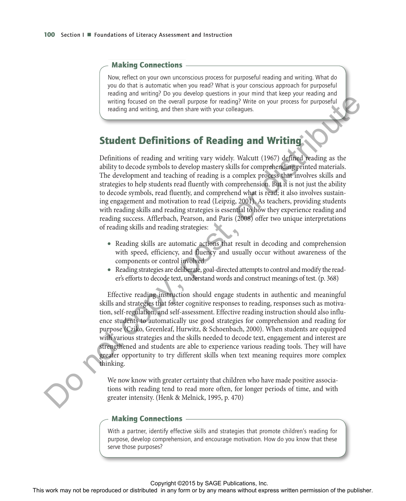### Making Connections

Now, reflect on your own unconscious process for purposeful reading and writing. What do you do that is automatic when you read? What is your conscious approach for purposeful reading and writing? Do you develop questions in your mind that keep your reading and writing focused on the overall purpose for reading? Write on your process for purposeful reading and writing, and then share with your colleagues.

# Student Definitions of Reading and Writing

Definitions of reading and writing vary widely. Walcutt (1967) defined reading as the ability to decode symbols to develop mastery skills for comprehending printed materials. The development and teaching of reading is a complex process that involves skills and strategies to help students read fluently with comprehension. But it is not just the ability to decode symbols, read fluently, and comprehend what is read; it also involves sustaining engagement and motivation to read (Leipzig, 2001). As teachers, providing students with reading skills and reading strategies is essential to how they experience reading and reading success. Afflerbach, Pearson, and Paris (2008) offer two unique interpretations of reading skills and reading strategies: written permission of the reproduced or the results of the reproduced in any form or by an any form or by any interest the publisher.<br>
Student Definitions of Reading and Writing and the relationship of the publisher or bu

- Reading skills are automatic actions that result in decoding and comprehension with speed, efficiency, and fluency and usually occur without awareness of the components or control involved.
- Reading strategies are deliberate, goal-directed attempts to control and modify the reader's efforts to decode text, understand words and construct meanings of test. (p. 368)

Effective reading instruction should engage students in authentic and meaningful skills and strategies that foster cognitive responses to reading, responses such as motivation, self-regulation, and self-assessment. Effective reading instruction should also influence students to automatically use good strategies for comprehension and reading for purpose (Cziko, Greenleaf, Hurwitz, & Schoenbach, 2000). When students are equipped with various strategies and the skills needed to decode text, engagement and interest are strengthened and students are able to experience various reading tools. They will have greater opportunity to try different skills when text meaning requires more complex thinking.

We now know with greater certainty that children who have made positive associations with reading tend to read more often, for longer periods of time, and with greater intensity. (Henk & Melnick, 1995, p. 470)

### Making Connections

With a partner, identify effective skills and strategies that promote children's reading for purpose, develop comprehension, and encourage motivation. How do you know that these serve those purposes?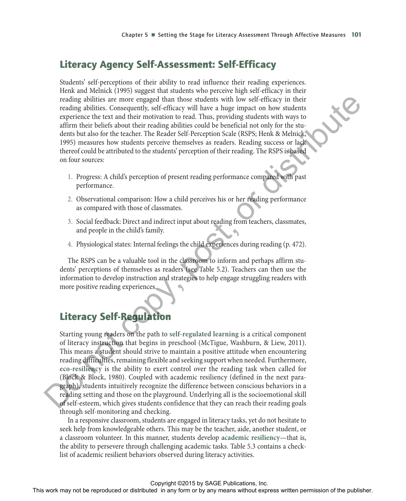# Literacy Agency Self-Assessment: Self-Efficacy

Students' self-perceptions of their ability to read influence their reading experiences. Henk and Melnick (1995) suggest that students who perceive high self-efficacy in their reading abilities are more engaged than those students with low self-efficacy in their reading abilities. Consequently, self-efficacy will have a huge impact on how students experience the text and their motivation to read. Thus, providing students with ways to affirm their beliefs about their reading abilities could be beneficial not only for the students but also for the teacher. The Reader Self-Perception Scale (RSPS; Henk & Melnick, 1995) measures how students perceive themselves as readers. Reading success or lack thereof could be attributed to the students' perception of their reading. The RSPS is based on four sources:

- 1. Progress: A child's perception of present reading performance compared with past performance.
- 2. Observational comparison: How a child perceives his or her reading performance as compared with those of classmates.
- 3. Social feedback: Direct and indirect input about reading from teachers, classmates, and people in the child's family.
- 4. Physiological states: Internal feelings the child experiences during reading (p. 472).

The RSPS can be a valuable tool in the classroom to inform and perhaps affirm students' perceptions of themselves as readers (see Table 5.2). Teachers can then use the information to develop instruction and strategies to help engage struggling readers with more positive reading experiences.

# Literacy Self-Regulation

Starting young readers on the path to **self-regulated learning** is a critical component of literacy instruction that begins in preschool (McTigue, Washburn, & Liew, 2011). This means a student should strive to maintain a positive attitude when encountering reading difficulties, remaining flexible and seeking support when needed. Furthermore, **eco-resiliency** is the ability to exert control over the reading task when called for (Block & Block, 1980). Coupled with academic resiliency (defined in the next paragraph), students intuitively recognize the difference between conscious behaviors in a reading setting and those on the playground. Underlying all is the socioemotional skill of self-esteem, which gives students confidence that they can reach their reading goals through self-monitoring and checking. results of the results of the state of the state or distributed in any formulate the reproduced in the reproduced in any form or by any means with synchronic permission of the results with the publisher of the publisher o

In a responsive classroom, students are engaged in literacy tasks, yet do not hesitate to seek help from knowledgeable others. This may be the teacher, aide, another student, or a classroom volunteer. In this manner, students develop **academic resiliency**—that is, the ability to persevere through challenging academic tasks. Table 5.3 contains a checklist of academic resilient behaviors observed during literacy activities.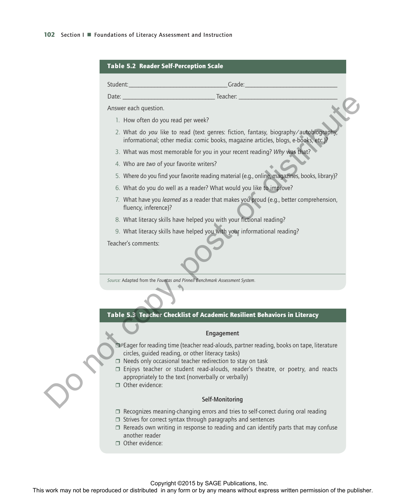

Other evidence: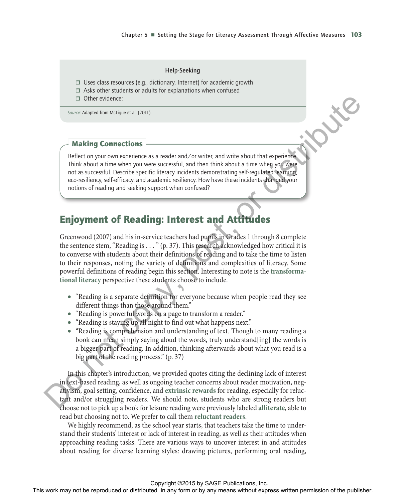#### Help-Seeking

- $\Box$  Uses class resources (e.g., dictionary, Internet) for academic growth
- $\Box$  Asks other students or adults for explanations when confused
- Other evidence:

*Source:* Adapted from McTigue et al. (2011).

### Making Connections

Reflect on your own experience as a reader and/or writer, and write about that experience. Think about a time when you were successful, and then think about a time when you were not as successful. Describe specific literacy incidents demonstrating self-regulated learning, eco-resiliency, self-efficacy, and academic resiliency. How have these incidents changed your notions of reading and seeking support when confused?

# Enjoyment of Reading: Interest and Attitudes

Greenwood (2007) and his in-service teachers had pupils in Grades 1 through 8 complete the sentence stem, "Reading is . . . " (p. 37). This research acknowledged how critical it is to converse with students about their definitions of reading and to take the time to listen to their responses, noting the variety of definitions and complexities of literacy. Some powerful definitions of reading begin this section. Interesting to note is the **transformational literacy** perspective these students choose to include. The context may not be represented or the repression of the repression of the repression of the publisher. The repression of the publisher or the publisher of the publisher. This were also that the publisher of the publis

- "Reading is a separate definition for everyone because when people read they see different things than those around them."
- "Reading is powerful words on a page to transform a reader."
- "Reading is staying up all night to find out what happens next."
- "Reading is comprehension and understanding of text. Though to many reading a book can mean simply saying aloud the words, truly understand[ing] the words is a bigger part of reading. In addition, thinking afterwards about what you read is a big part of the reading process." (p. 37)

In this chapter's introduction, we provided quotes citing the declining lack of interest in text-based reading, as well as ongoing teacher concerns about reader motivation, negativism, goal setting, confidence, and **extrinsic rewards** for reading, especially for reluctant and/or struggling readers. We should note, students who are strong readers but choose not to pick up a book for leisure reading were previously labeled **alliterate**, able to read but choosing not to. We prefer to call them **reluctant readers**.

We highly recommend, as the school year starts, that teachers take the time to understand their students' interest or lack of interest in reading, as well as their attitudes when approaching reading tasks. There are various ways to uncover interest in and attitudes about reading for diverse learning styles: drawing pictures, performing oral reading,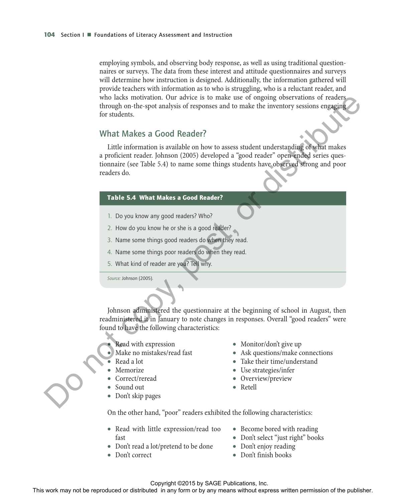employing symbols, and observing body response, as well as using traditional questionnaires or surveys. The data from these interest and attitude questionnaires and surveys will determine how instruction is designed. Additionally, the information gathered will provide teachers with information as to who is struggling, who is a reluctant reader, and who lacks motivation. Our advice is to make use of ongoing observations of readers through on-the-spot analysis of responses and to make the inventory sessions engaging for students.

### What Makes a Good Reader?

Little information is available on how to assess student understanding of what makes a proficient reader. Johnson (2005) developed a "good reader" open-ended series questionnaire (see Table 5.4) to name some things students have observed strong and poor readers do. who had to movies or distributed or distributed or distributed or distributed in any form or between the publishers and the more of the more of the more of the more of the publisher. This was a profit of the publisher rea

### Table 5.4 What Makes a Good Reader?

- 1. Do you know any good readers? Who?
- 2. How do you know he or she is a good reader?
- 3. Name some things good readers do when they read.
- 4. Name some things poor readers do when they read.
- 5. What kind of reader are you? Tell why.

*Source:* Johnson (2005).

Johnson administered the questionnaire at the beginning of school in August, then readministered it in January to note changes in responses. Overall "good readers" were found to have the following characteristics:

- Read with expression
- Make no mistakes/read fast
- Read a lot
- Memorize
- Correct/reread
- Sound out
- Don't skip pages
- Monitor/don't give up
- Ask questions/make connections
- Take their time/understand
- Use strategies/infer
- Overview/preview
- Retell

On the other hand, "poor" readers exhibited the following characteristics:

- Read with little expression/read too fast
- Don't read a lot/pretend to be done
- Don't correct
- Become bored with reading
- Don't select "just right" books
- Don't enjoy reading
- Don't finish books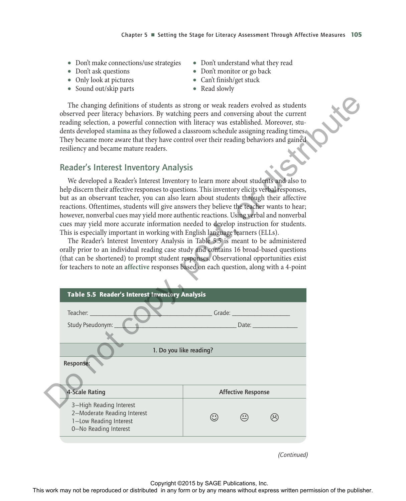- Don't make connections/use strategies
- Don't ask questions
- Only look at pictures
- Sound out/skip parts
- Don't understand what they read
- Don't monitor or go back
- Can't finish/get stuck
- Read slowly

### Reader's Interest Inventory Analysis

| The changing definitions of students as strong or weak readers evolved as students<br>observed peer literacy behaviors. By watching peers and conversing about the current<br>reading selection, a powerful connection with literacy was established. Moreover, stu-<br>dents developed stamina as they followed a classroom schedule assigning reading times.<br>They became more aware that they have control over their reading behaviors and gained<br>resiliency and became mature readers.                                                                                                                                                                                                                                                                                                                                                                                                                                                                                                                     |                                            |                           |             |  |
|----------------------------------------------------------------------------------------------------------------------------------------------------------------------------------------------------------------------------------------------------------------------------------------------------------------------------------------------------------------------------------------------------------------------------------------------------------------------------------------------------------------------------------------------------------------------------------------------------------------------------------------------------------------------------------------------------------------------------------------------------------------------------------------------------------------------------------------------------------------------------------------------------------------------------------------------------------------------------------------------------------------------|--------------------------------------------|---------------------------|-------------|--|
| <b>Reader's Interest Inventory Analysis</b>                                                                                                                                                                                                                                                                                                                                                                                                                                                                                                                                                                                                                                                                                                                                                                                                                                                                                                                                                                          |                                            |                           |             |  |
| We developed a Reader's Interest Inventory to learn more about students and also to<br>help discern their affective responses to questions. This inventory elicits verbal responses,<br>but as an observant teacher, you can also learn about students through their affective<br>reactions. Oftentimes, students will give answers they believe the teacher wants to hear;<br>however, nonverbal cues may yield more authentic reactions. Using verbal and nonverbal<br>cues may yield more accurate information needed to develop instruction for students.<br>This is especially important in working with English language learners (ELLs).<br>The Reader's Interest Inventory Analysis in Table 5.5 is meant to be administered<br>orally prior to an individual reading case study and contains 16 broad-based questions<br>(that can be shortened) to prompt student responses. Observational opportunities exist<br>for teachers to note an affective responses based on each question, along with a 4-point |                                            |                           |             |  |
|                                                                                                                                                                                                                                                                                                                                                                                                                                                                                                                                                                                                                                                                                                                                                                                                                                                                                                                                                                                                                      |                                            |                           |             |  |
| Table 5.5 Reader's Interest Inventory Analysis                                                                                                                                                                                                                                                                                                                                                                                                                                                                                                                                                                                                                                                                                                                                                                                                                                                                                                                                                                       |                                            |                           |             |  |
| Teacher:                                                                                                                                                                                                                                                                                                                                                                                                                                                                                                                                                                                                                                                                                                                                                                                                                                                                                                                                                                                                             | Grade:                                     |                           |             |  |
| Study Pseudonym:                                                                                                                                                                                                                                                                                                                                                                                                                                                                                                                                                                                                                                                                                                                                                                                                                                                                                                                                                                                                     |                                            | Date:                     |             |  |
|                                                                                                                                                                                                                                                                                                                                                                                                                                                                                                                                                                                                                                                                                                                                                                                                                                                                                                                                                                                                                      | 1. Do you like reading?                    |                           |             |  |
| Response:                                                                                                                                                                                                                                                                                                                                                                                                                                                                                                                                                                                                                                                                                                                                                                                                                                                                                                                                                                                                            |                                            |                           |             |  |
| 4-Scale Rating                                                                                                                                                                                                                                                                                                                                                                                                                                                                                                                                                                                                                                                                                                                                                                                                                                                                                                                                                                                                       |                                            | <b>Affective Response</b> |             |  |
| 3-High Reading Interest<br>2-Moderate Reading Interest<br>1-Low Reading Interest<br>0-No Reading Interest                                                                                                                                                                                                                                                                                                                                                                                                                                                                                                                                                                                                                                                                                                                                                                                                                                                                                                            | $\odot$                                    | $\bigodot$                | ⊗           |  |
|                                                                                                                                                                                                                                                                                                                                                                                                                                                                                                                                                                                                                                                                                                                                                                                                                                                                                                                                                                                                                      |                                            |                           | (Continued) |  |
| This work may not be reproduced or distributed in any form or by any means without express written permission of the publisher.                                                                                                                                                                                                                                                                                                                                                                                                                                                                                                                                                                                                                                                                                                                                                                                                                                                                                      | Copyright ©2015 by SAGE Publications, Inc. |                           |             |  |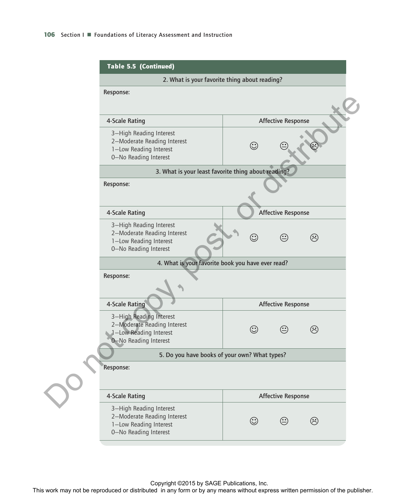| 2. What is your favorite thing about reading?                                                             |         |                           |         |
|-----------------------------------------------------------------------------------------------------------|---------|---------------------------|---------|
| Response:                                                                                                 |         |                           |         |
| 4-Scale Rating                                                                                            |         | <b>Affective Response</b> |         |
| 3-High Reading Interest<br>2-Moderate Reading Interest<br>1-Low Reading Interest<br>0-No Reading Interest | $\odot$ |                           |         |
| 3. What is your least favorite thing about reading?                                                       |         |                           |         |
| Response:                                                                                                 |         |                           |         |
| 4-Scale Rating                                                                                            |         | <b>Affective Response</b> |         |
| 3-High Reading Interest<br>2-Moderate Reading Interest<br>1-Low Reading Interest<br>0-No Reading Interest | $\odot$ | $\bigodot$                | $\odot$ |
| 4. What is your favorite book you have ever read?                                                         |         |                           |         |
| Response:                                                                                                 |         |                           |         |
| 4-Scale Rating                                                                                            |         | <b>Affective Response</b> |         |
| 3-High Reading Interest<br>2-Moderate Reading Interest<br>1-Low Reading Interest<br>0-No Reading Interest | $\odot$ | $\odot$                   | ☺       |
| 5. Do you have books of your own? What types?                                                             |         |                           |         |
| Response:                                                                                                 |         |                           |         |
| 4-Scale Rating                                                                                            |         | <b>Affective Response</b> |         |
| 3-High Reading Interest                                                                                   |         | ☺                         | ☺       |

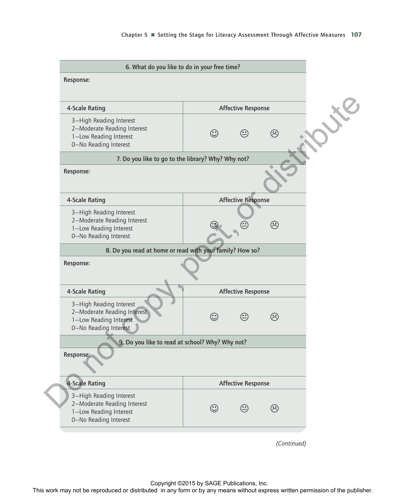| 4-Scale Rating                                                                                            |         | <b>Affective Response</b> |                             |    |
|-----------------------------------------------------------------------------------------------------------|---------|---------------------------|-----------------------------|----|
| 3-High Reading Interest<br>2-Moderate Reading Interest<br>1-Low Reading Interest<br>0-No Reading Interest | $\odot$ | $\bigodot$                | ☺                           | XE |
| 7. Do you like to go to the library? Why? Why not?                                                        |         |                           |                             |    |
| Response:                                                                                                 |         |                           |                             |    |
| 4-Scale Rating                                                                                            |         | <b>Affective Response</b> |                             |    |
| 3-High Reading Interest<br>2-Moderate Reading Interest<br>1-Low Reading Interest<br>0-No Reading Interest |         |                           | ඹ                           |    |
| 8. Do you read at home or read with your family? How so?                                                  |         |                           |                             |    |
| Response:                                                                                                 |         |                           |                             |    |
| 4-Scale Rating                                                                                            |         | <b>Affective Response</b> |                             |    |
| 3-High Reading Interest<br>2-Moderate Reading Interest<br>1-Low Reading Interest<br>0-No Reading Interest | $\odot$ | $\bigodot$                | $\left(\ddot{\cdot}\right)$ |    |
| 9. Do you like to read at school? Why? Why not?                                                           |         |                           |                             |    |
| Response:                                                                                                 |         |                           |                             |    |
| 4-Scale Rating                                                                                            |         | <b>Affective Response</b> |                             |    |
| 3-High Reading Interest<br>2-Moderate Reading Interest<br>1-Low Reading Interest<br>0-No Reading Interest | $\odot$ | $\bigodot$                | $\hat{\mathcal{C}}$         |    |
|                                                                                                           |         |                           |                             |    |
|                                                                                                           |         |                           | (Continued)                 |    |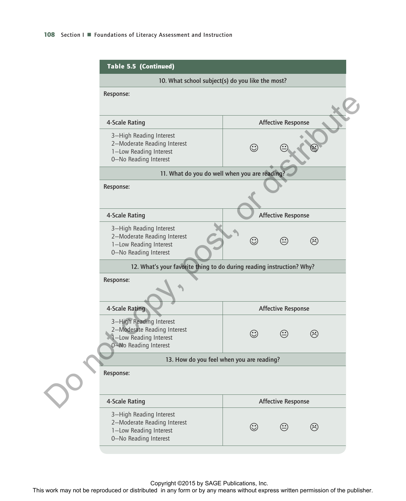| 10. What school subject(s) do you like the most?                                                          |         |                           |                           |
|-----------------------------------------------------------------------------------------------------------|---------|---------------------------|---------------------------|
| Response:                                                                                                 |         |                           |                           |
| 4-Scale Rating                                                                                            |         | <b>Affective Response</b> |                           |
| 3-High Reading Interest<br>2-Moderate Reading Interest<br>1-Low Reading Interest<br>0-No Reading Interest | $\odot$ |                           |                           |
| 11. What do you do well when you are reading?                                                             |         |                           |                           |
| Response:                                                                                                 |         |                           |                           |
| 4-Scale Rating                                                                                            |         | <b>Affective Response</b> |                           |
| 3-High Reading Interest<br>2-Moderate Reading Interest<br>1-Low Reading Interest<br>0-No Reading Interest | $\odot$ | $\bigodot$                | ඹ                         |
| 12. What's your favorite thing to do during reading instruction? Why?                                     |         |                           |                           |
| Response:                                                                                                 |         |                           |                           |
| 4-Scale Rating                                                                                            |         | <b>Affective Response</b> |                           |
| 3-High Reading Interest<br>2-Moderate Reading Interest<br>1-Low Reading Interest<br>0-No Reading Interest | $\odot$ | ☺                         | $(\hat{\mathord{\cdot}})$ |
| 13. How do you feel when you are reading?                                                                 |         |                           |                           |
| Response:                                                                                                 |         |                           |                           |
| 4-Scale Rating                                                                                            |         | <b>Affective Response</b> |                           |
| 3-High Reading Interest<br>2-Moderate Reading Interest<br>1-Low Reading Interest                          | $\odot$ | $\odot$                   | ⊗                         |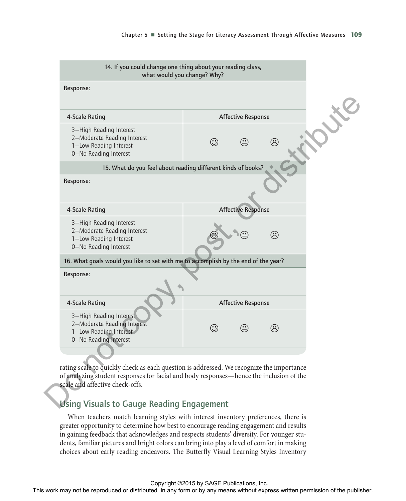| what would you change? Why?                                                                               | 14. If you could change one thing about your reading class,                                                                                                                                                                                                                                                                                                        |  |
|-----------------------------------------------------------------------------------------------------------|--------------------------------------------------------------------------------------------------------------------------------------------------------------------------------------------------------------------------------------------------------------------------------------------------------------------------------------------------------------------|--|
| Response:                                                                                                 |                                                                                                                                                                                                                                                                                                                                                                    |  |
| 4-Scale Rating                                                                                            | <b>Affective Response</b>                                                                                                                                                                                                                                                                                                                                          |  |
| 3-High Reading Interest<br>2-Moderate Reading Interest<br>1-Low Reading Interest<br>0-No Reading Interest | $\odot$<br>$\odot$<br>$(\dot{\gamma})$                                                                                                                                                                                                                                                                                                                             |  |
|                                                                                                           | 15. What do you feel about reading different kinds of books?                                                                                                                                                                                                                                                                                                       |  |
| Response:                                                                                                 |                                                                                                                                                                                                                                                                                                                                                                    |  |
| 4-Scale Rating                                                                                            | <b>Affective Response</b>                                                                                                                                                                                                                                                                                                                                          |  |
| 3-High Reading Interest<br>2-Moderate Reading Interest<br>1-Low Reading Interest<br>0-No Reading Interest | $\hat{\mathcal{L}}$                                                                                                                                                                                                                                                                                                                                                |  |
| 16. What goals would you like to set with me to accomplish by the end of the year?                        |                                                                                                                                                                                                                                                                                                                                                                    |  |
| Response:                                                                                                 |                                                                                                                                                                                                                                                                                                                                                                    |  |
| 4-Scale Rating                                                                                            | <b>Affective Response</b>                                                                                                                                                                                                                                                                                                                                          |  |
| 3-High Reading Interest<br>2-Moderate Reading Interest<br>1-Low Reading Interest<br>0-No Reading Interest | ⊕<br>$\odot$                                                                                                                                                                                                                                                                                                                                                       |  |
|                                                                                                           |                                                                                                                                                                                                                                                                                                                                                                    |  |
| scale and affective check-offs.<br><b>Using Visuals to Gauge Reading Engagement</b>                       | rating scale to quickly check as each question is addressed. We recognize the importance<br>of analyzing student responses for facial and body responses—hence the inclusion of the                                                                                                                                                                                |  |
| in gaining feedback that acknowledges and respects students' diversity. For younger stu-                  | When teachers match learning styles with interest inventory preferences, there is<br>greater opportunity to determine how best to encourage reading engagement and results<br>dents, familiar pictures and bright colors can bring into play a level of comfort in making<br>choices about early reading endeavors. The Butterfly Visual Learning Styles Inventory |  |
|                                                                                                           | Copyright ©2015 by SAGE Publications, Inc.<br>This work may not be reproduced or distributed in any form or by any means without express written permission of the publisher.                                                                                                                                                                                      |  |

### Using Visuals to Gauge Reading Engagement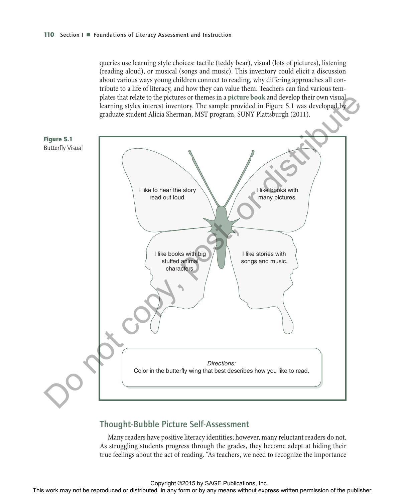queries use learning style choices: tactile (teddy bear), visual (lots of pictures), listening (reading aloud), or musical (songs and music). This inventory could elicit a discussion about various ways young children connect to reading, why differing approaches all contribute to a life of literacy, and how they can value them. Teachers can find various templates that relate to the pictures or themes in a **picture book** and develop their own visual learning styles interest inventory. The sample provided in Figure 5.1 was developed by graduate student Alicia Sherman, MST program, SUNY Plattsburgh (2011).



### Thought-Bubble Picture Self-Assessment

Many readers have positive literacy identities; however, many reluctant readers do not. As struggling students progress through the grades, they become adept at hiding their true feelings about the act of reading. "As teachers, we need to recognize the importance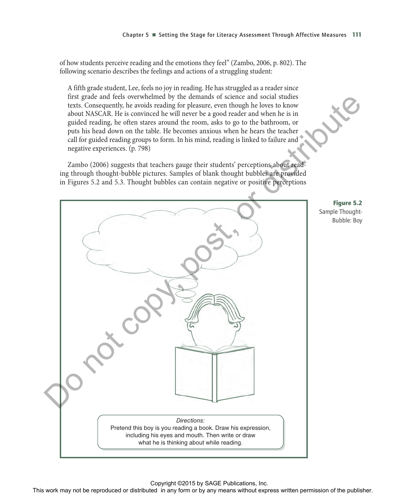of how students perceive reading and the emotions they feel" (Zambo, 2006, p. 802). The following scenario describes the feelings and actions of a struggling student:

A fifth grade student, Lee, feels no joy in reading. He has struggled as a reader since first grade and feels overwhelmed by the demands of science and social studies texts. Consequently, he avoids reading for pleasure, even though he loves to know about NASCAR. He is convinced he will never be a good reader and when he is in guided reading, he often stares around the room, asks to go to the bathroom, or puts his head down on the table. He becomes anxious when he hears the teacher call for guided reading groups to form. In his mind, reading is linked to failure and negative experiences. (p. 798)

Zambo (2006) suggests that teachers gauge their students' perceptions about reading through thought-bubble pictures. Samples of blank thought bubbles are provided in Figures 5.2 and 5.3. Thought bubbles can contain negative or positive perceptions



*Directions:* Pretend this boy is you reading a book. Draw his expression, including his eyes and mouth. Then write or draw what he is thinking about while reading. The work may not be reproduced or distributed in any form or by any means whole experimental or distributed or distributed or by any means who have a state of the publisher. This was not be a state of the publisher. This w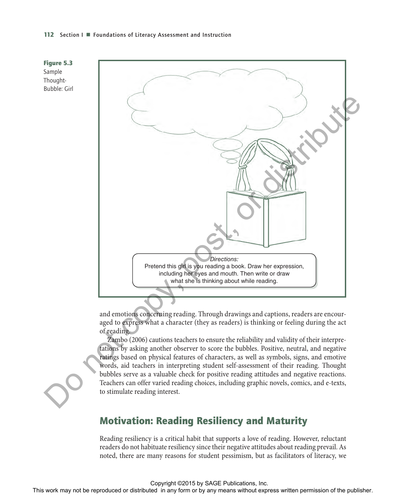#### **112** Section I ■ Foundations of Literacy Assessment and Instruction



and emotions concerning reading. Through drawings and captions, readers are encouraged to express what a character (they as readers) is thinking or feeling during the act of reading.

Zambo (2006) cautions teachers to ensure the reliability and validity of their interpretations by asking another observer to score the bubbles. Positive, neutral, and negative ratings based on physical features of characters, as well as symbols, signs, and emotive words, aid teachers in interpreting student self-assessment of their reading. Thought bubbles serve as a valuable check for positive reading attitudes and negative reactions. Teachers can offer varied reading choices, including graphic novels, comics, and e-texts, to stimulate reading interest.

# Motivation: Reading Resiliency and Maturity

Reading resiliency is a critical habit that supports a love of reading. However, reluctant readers do not habituate resiliency since their negative attitudes about reading prevail. As noted, there are many reasons for student pessimism, but as facilitators of literacy, we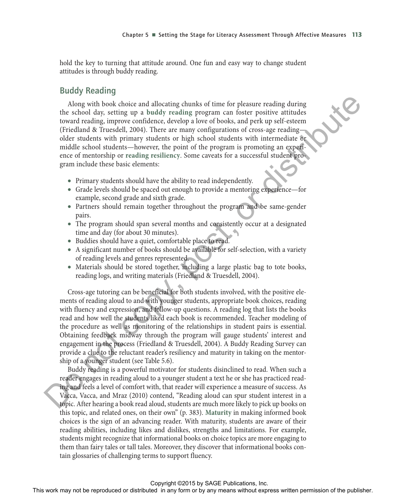hold the key to turning that attitude around. One fun and easy way to change student attitudes is through buddy reading.

### Buddy Reading

Along with book choice and allocating chunks of time for pleasure reading during the school day, setting up a **buddy reading** program can foster positive attitudes toward reading, improve confidence, develop a love of books, and perk up self-esteem (Friedland & Truesdell, 2004). There are many configurations of cross-age reading older students with primary students or high school students with intermediate or middle school students—however, the point of the program is promoting an experience of mentorship or **reading resiliency**. Some caveats for a successful student program include these basic elements:

- Primary students should have the ability to read independently.
- Grade levels should be spaced out enough to provide a mentoring experience—for example, second grade and sixth grade.
- Partners should remain together throughout the program and be same-gender pairs.
- The program should span several months and consistently occur at a designated time and day (for about 30 minutes).
- Buddies should have a quiet, comfortable place to read.
- A significant number of books should be available for self-selection, with a variety of reading levels and genres represented.
- Materials should be stored together, including a large plastic bag to tote books, reading logs, and writing materials (Friedland & Truesdell, 2004).

Cross-age tutoring can be beneficial for both students involved, with the positive elements of reading aloud to and with younger students, appropriate book choices, reading with fluency and expression, and follow-up questions. A reading log that lists the books read and how well the students liked each book is recommended. Teacher modeling of the procedure as well as monitoring of the relationships in student pairs is essential. Obtaining feedback midway through the program will gauge students' interest and engagement in the process (Friedland & Truesdell, 2004). A Buddy Reading Survey can provide a clue to the reluctant reader's resiliency and maturity in taking on the mentorship of a younger student (see Table 5.6).

Buddy reading is a powerful motivator for students disinclined to read. When such a reader engages in reading aloud to a younger student a text he or she has practiced reading and feels a level of comfort with, that reader will experience a measure of success. As Vacca, Vacca, and Mraz (2010) contend, "Reading aloud can spur student interest in a topic. After hearing a book read aloud, students are much more likely to pick up books on this topic, and related ones, on their own" (p. 383). **Maturity** in making informed book choices is the sign of an advancing reader. With maturity, students are aware of their reading abilities, including likes and dislikes, strengths and limitations. For example, students might recognize that informational books on choice topics are more engaging to them than fairy tales or tall tales. Moreover, they discover that informational books contain glossaries of challenging terms to support fluency. Along the book may not be represented or distributed or distributed in any form or by any means when  $\sim$  be reproduced to the publisher and the publisher. The comparison of the publisher and the publisher and the publish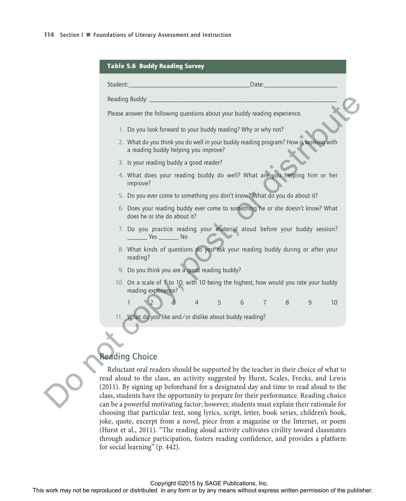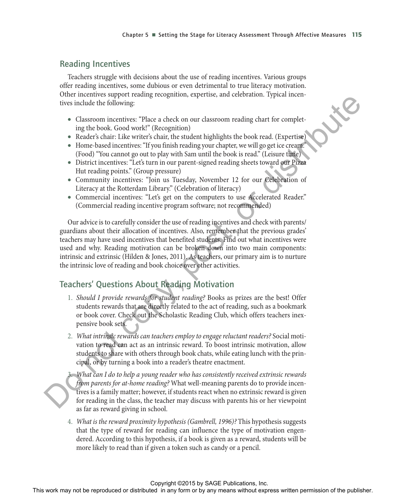### Reading Incentives

Teachers struggle with decisions about the use of reading incentives. Various groups offer reading incentives, some dubious or even detrimental to true literacy motivation. Other incentives support reading recognition, expertise, and celebration. Typical incentives include the following:

- Classroom incentives: "Place a check on our classroom reading chart for completing the book. Good work!" (Recognition)
- Reader's chair: Like writer's chair, the student highlights the book read. (Expertise)
- Home-based incentives: "If you finish reading your chapter, we will go get ice cream?" (Food) "You cannot go out to play with Sam until the book is read." (Leisure time)
- District incentives: "Let's turn in our parent-signed reading sheets toward our Pizza Hut reading points." (Group pressure)
- Community incentives: "Join us Tuesday, November 12 for our Celebration of Literacy at the Rotterdam Library." (Celebration of literacy)
- Commercial incentives: "Let's get on the computers to use Accelerated Reader." (Commercial reading incentive program software; not recommended)

Our advice is to carefully consider the use of reading incentives and check with parents/ guardians about their allocation of incentives. Also, remember that the previous grades' teachers may have used incentives that benefited students. Find out what incentives were used and why. Reading motivation can be broken down into two main components: intrinsic and extrinsic (Hilden & Jones, 2011). As teachers, our primary aim is to nurture the intrinsic love of reading and book choice over other activities. The rest of the repression of the repression of the repression or the rest or distribution in a state of the rest or by any means with the rest or by any means with the rest of the rest or by any finding the rest or by an

# Teachers' Questions About Reading Motivation

- 1. *Should I provide rewards for student reading?* Books as prizes are the best! Offer students rewards that are directly related to the act of reading, such as a bookmark or book cover. Check out the Scholastic Reading Club, which offers teachers inexpensive book sets.
- 2. *What intrinsic rewards can teachers employ to engage reluctant readers?* Social motivation to read can act as an intrinsic reward. To boost intrinsic motivation, allow students to share with others through book chats, while eating lunch with the principal, or by turning a book into a reader's theatre enactment.

3. *What can I do to help a young reader who has consistently received extrinsic rewards from parents for at-home reading?* What well-meaning parents do to provide incentives is a family matter; however, if students react when no extrinsic reward is given for reading in the class, the teacher may discuss with parents his or her viewpoint as far as reward giving in school.

4. *What is the reward proximity hypothesis (Gambrell, 1996)?* This hypothesis suggests that the type of reward for reading can influence the type of motivation engendered. According to this hypothesis, if a book is given as a reward, students will be more likely to read than if given a token such as candy or a pencil.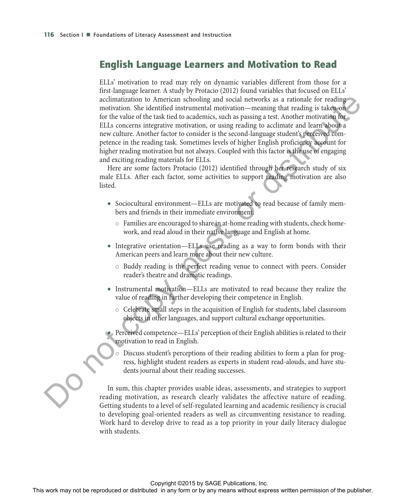### English Language Learners and Motivation to Read

ELLs' motivation to read may rely on dynamic variables different from those for a first-language learner. A study by Protacio (2012) found variables that focused on ELLs' acclimatization to American schooling and social networks as a rationale for reading motivation. She identified instrumental motivation—meaning that reading is taken on for the value of the task tied to academics, such as passing a test. Another motivation for ELLs concerns integrative motivation, or using reading to acclimate and learn about a new culture. Another factor to consider is the second-language student's perceived competence in the reading task. Sometimes levels of higher English proficiency account for higher reading motivation but not always. Coupled with this factor is the use of engaging and exciting reading materials for ELLs. and may have the rest or distribution to American Action and the results are actions to the reproduced or the results of the rest field to action the publisher. See that the publisher action of the publisher and the publi

Here are some factors Protacio (2012) identified through her research study of six male ELLs. After each factor, some activities to support reading motivation are also listed.

- Sociocultural environment—ELLs are motivated to read because of family members and friends in their immediate environment.
	- $\circ$  Families are encouraged to share in at-home reading with students, check homework, and read aloud in their native language and English at home.
- Integrative orientation—ELLs use reading as a way to form bonds with their American peers and learn more about their new culture.
	- $\circ$  Buddy reading is the perfect reading venue to connect with peers. Consider reader's theatre and dramatic readings.
- Instrumental motivation—ELLs are motivated to read because they realize the value of reading in further developing their competence in English.
	- $\circ$  Celebrate small steps in the acquisition of English for students, label classroom objects in other languages, and support cultural exchange opportunities.
- Perceived competence—ELLs' perception of their English abilities is related to their motivation to read in English.
	- Discuss student's perceptions of their reading abilities to form a plan for progress, highlight student readers as experts in student read-alouds, and have students journal about their reading successes.

In sum, this chapter provides usable ideas, assessments, and strategies to support reading motivation, as research clearly validates the affective nature of reading. Getting students to a level of self-regulated learning and academic resiliency is crucial to developing goal-oriented readers as well as circumventing resistance to reading. Work hard to develop drive to read as a top priority in your daily literacy dialogue with students.